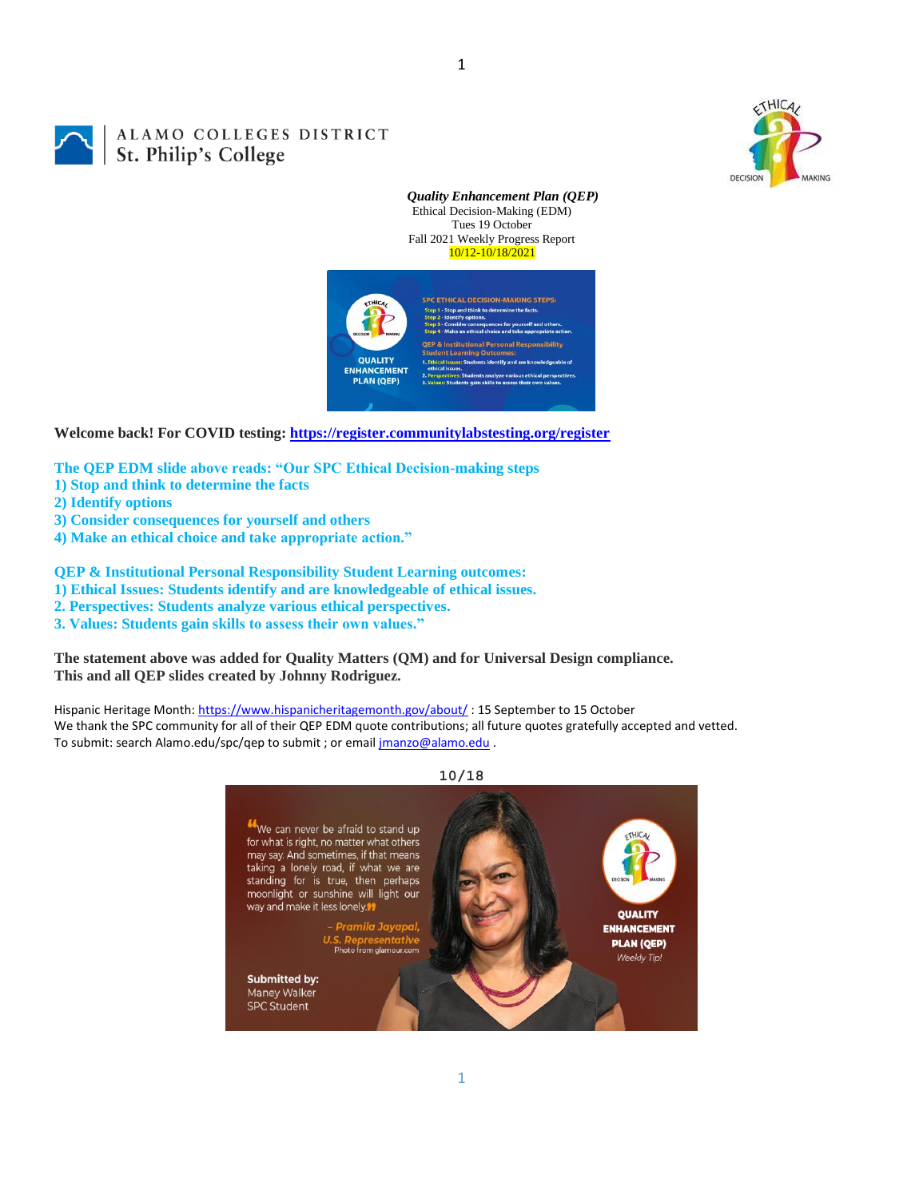

# ALAMO COLLEGES DISTRICT<br>St. Philip's College

Ethical Decision-Making (EDM) Tues 19 October Fall 2021 Weekly Progress Report 10/12-10/18/2021 d think to determine the f **stitutional Personal Responsibility** nt Learning Ou **QUALITY ENHANCEMENT** 

*Quality Enhancement Plan (QEP)*

**Welcome back! For COVID testing:<https://register.communitylabstesting.org/register>**

**PLAN (QEP)** 

**The QEP EDM slide above reads: "Our SPC Ethical Decision-making steps** 

- **1) Stop and think to determine the facts**
- **2) Identify options**
- **3) Consider consequences for yourself and others**
- **4) Make an ethical choice and take appropriate action."**

**QEP & Institutional Personal Responsibility Student Learning outcomes:** 

- **1) Ethical Issues: Students identify and are knowledgeable of ethical issues.**
- **2. Perspectives: Students analyze various ethical perspectives.**
- **3. Values: Students gain skills to assess their own values."**

**The statement above was added for Quality Matters (QM) and for Universal Design compliance. This and all QEP slides created by Johnny Rodriguez.**

Hispanic Heritage Month[: https://www.hispanicheritagemonth.gov/about/](https://www.hispanicheritagemonth.gov/about/): 15 September to 15 October We thank the SPC community for all of their QEP EDM quote contributions; all future quotes gratefully accepted and vetted. To submit: search Alamo.edu/spc/qep to submit ; or emai[l jmanzo@alamo.edu](mailto:jmanzo@alamo.edu) .

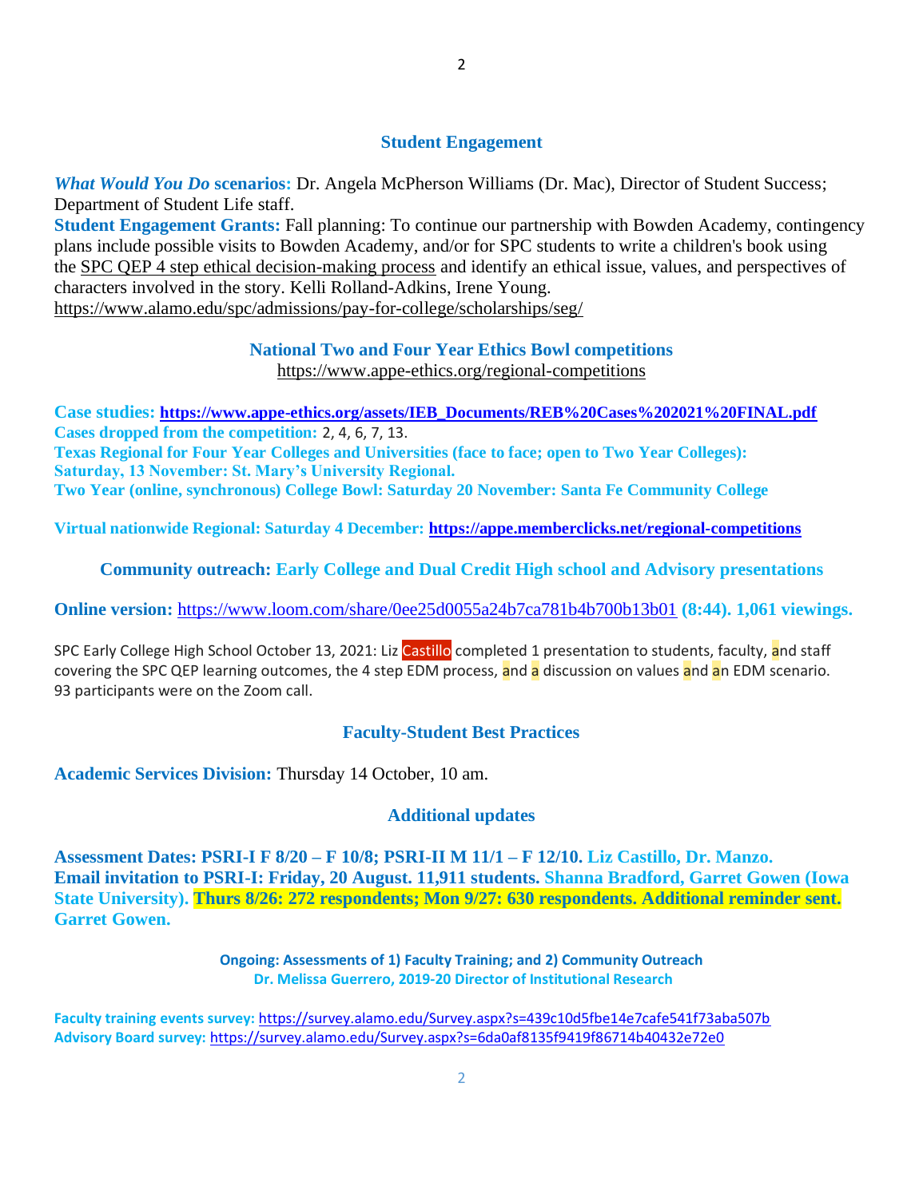#### **Student Engagement**

*What Would You Do* **scenarios:** Dr. Angela McPherson Williams (Dr. Mac), Director of Student Success; Department of Student Life staff.

**Student Engagement Grants:** Fall planning: To continue our partnership with Bowden Academy, contingency plans include possible visits to Bowden Academy, and/or for SPC students to write a children's book using the [SPC QEP 4 step ethical decision-making process](https://mail.alamo.edu/owa/redir.aspx?REF=QPGGgOE-3HbbrbCAzqBFQWbtY3e2Gc0f0qSFld99-4hqZWSPr8DYCAFodHRwczovL3d3dy5hbGFtby5lZHUvbGluay8zYjg5NjQxMTY3MGY0YTZlYjU2MzNkNGFmNjE1OTBjNC5hc3B4) and identify an ethical issue, values, and perspectives of characters involved in the story. Kelli Rolland-Adkins, Irene Young. <https://www.alamo.edu/spc/admissions/pay-for-college/scholarships/seg/>

## **National Two and Four Year Ethics Bowl competitions**

<https://www.appe-ethics.org/regional-competitions>

**Case studies: [https://www.appe-ethics.org/assets/IEB\\_Documents/REB%20Cases%202021%20FINAL.pdf](https://www.appe-ethics.org/assets/IEB_Documents/REB%20Cases%202021%20FINAL.pdf) Cases dropped from the competition:** 2, 4, 6, 7, 13. **Texas Regional for Four Year Colleges and Universities (face to face; open to Two Year Colleges): Saturday, 13 November: St. Mary's University Regional. Two Year (online, synchronous) College Bowl: Saturday 20 November: Santa Fe Community College**

**Virtual nationwide Regional: Saturday 4 December:<https://appe.memberclicks.net/regional-competitions>**

## **Community outreach: Early College and Dual Credit High school and Advisory presentations**

**Online version:** <https://www.loom.com/share/0ee25d0055a24b7ca781b4b700b13b01> **(8:44). 1,061 viewings.**

SPC Early College High School October 13, 2021: Liz Castillo completed 1 presentation to students, faculty, and staff covering the SPC QEP learning outcomes, the 4 step EDM process, and a discussion on values and an EDM scenario. 93 participants were on the Zoom call.

## **Faculty-Student Best Practices**

**Academic Services Division:** Thursday 14 October, 10 am.

## **Additional updates**

**Assessment Dates: PSRI-I F 8/20 – F 10/8; PSRI-II M 11/1 – F 12/10. Liz Castillo, Dr. Manzo. Email invitation to PSRI-I: Friday, 20 August. 11,911 students. Shanna Bradford, Garret Gowen (Iowa State University). Thurs 8/26: 272 respondents; Mon 9/27: 630 respondents. Additional reminder sent. Garret Gowen.**

> **Ongoing: Assessments of 1) Faculty Training; and 2) Community Outreach Dr. Melissa Guerrero, 2019-20 Director of Institutional Research**

**Faculty training events survey:** <https://survey.alamo.edu/Survey.aspx?s=439c10d5fbe14e7cafe541f73aba507b> **Advisory Board survey:** [https://survey.alamo.edu/Survey.aspx?s=6da0af8135f9419f86714b40432e72e0](https://mail.alamo.edu/owa/redir.aspx?C=ltSuwFrmmhFPV6kAmiCFHriyLNGIl0PeNuaCUMi1FWtl6dwQ6ubXCA..&URL=https%3a%2f%2fsurvey.alamo.edu%2fSurvey.aspx%3fs%3d6da0af8135f9419f86714b40432e72e0)